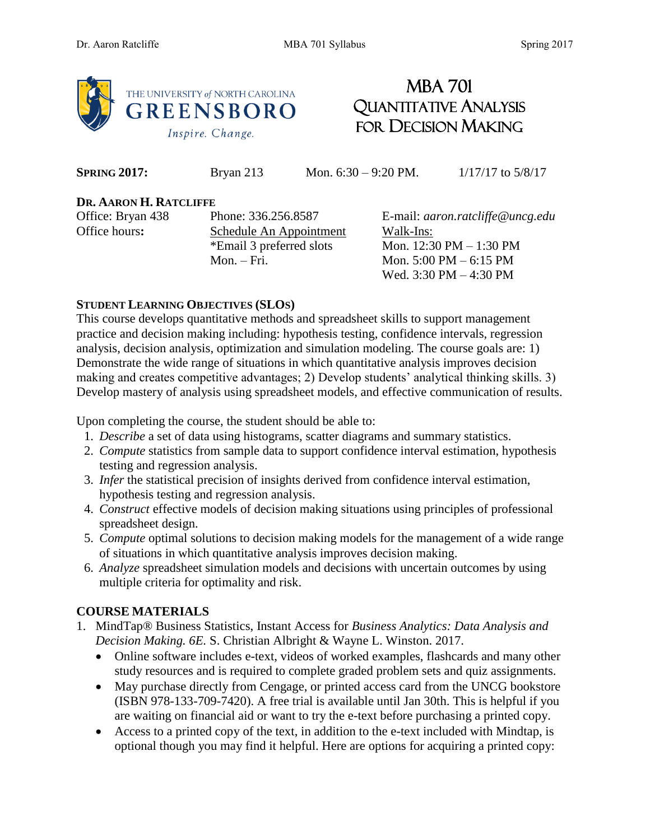

# MBA 701 QUANTITATIVE ANALYSIS FOR DECISION MAKING

**SPRING 2017:** Bryan 213 Mon. 6:30 – 9:20 PM. 1/17/17 to 5/8/17

#### **DR. AARON H. RATCLIFFE**

Office hours: Schedule An Appointment Walk-Ins:

Office: Bryan 438 Phone: 336.256.8587 E-mail: *aaron.ratcliffe@uncg.edu* \*Email 3 preferred slots Mon.  $12:30 \text{ PM} - 1:30 \text{ PM}$ Mon. – Fri. Mon. 5:00 PM – 6:15 PM Wed. 3:30 PM – 4:30 PM

# **STUDENT LEARNING OBJECTIVES (SLOS)**

This course develops quantitative methods and spreadsheet skills to support management practice and decision making including: hypothesis testing, confidence intervals, regression analysis, decision analysis, optimization and simulation modeling. The course goals are: 1) Demonstrate the wide range of situations in which quantitative analysis improves decision making and creates competitive advantages; 2) Develop students' analytical thinking skills. 3) Develop mastery of analysis using spreadsheet models, and effective communication of results.

Upon completing the course, the student should be able to:

- 1. *Describe* a set of data using histograms, scatter diagrams and summary statistics.
- 2. *Compute* statistics from sample data to support confidence interval estimation, hypothesis testing and regression analysis.
- 3. *Infer* the statistical precision of insights derived from confidence interval estimation, hypothesis testing and regression analysis.
- 4. *Construct* effective models of decision making situations using principles of professional spreadsheet design.
- 5. *Compute* optimal solutions to decision making models for the management of a wide range of situations in which quantitative analysis improves decision making.
- 6. *Analyze* spreadsheet simulation models and decisions with uncertain outcomes by using multiple criteria for optimality and risk.

# **COURSE MATERIALS**

- 1. MindTap® Business Statistics, Instant Access for *Business Analytics: Data Analysis and Decision Making. 6E.* S. Christian Albright & Wayne L. Winston. 2017.
	- Online software includes e-text, videos of worked examples, flashcards and many other study resources and is required to complete graded problem sets and quiz assignments.
	- May purchase directly from Cengage, or printed access card from the UNCG bookstore (ISBN 978-133-709-7420). A free trial is available until Jan 30th. This is helpful if you are waiting on financial aid or want to try the e-text before purchasing a printed copy.
	- Access to a printed copy of the text, in addition to the e-text included with Mindtap, is optional though you may find it helpful. Here are options for acquiring a printed copy: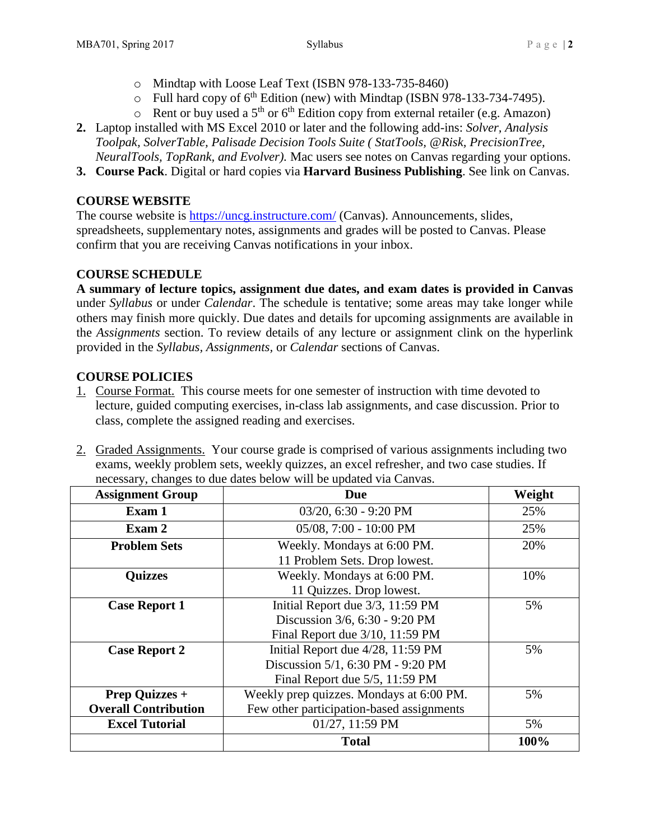- o Mindtap with Loose Leaf Text (ISBN 978-133-735-8460)
- $\circ$  Full hard copy of 6<sup>th</sup> Edition (new) with Mindtap (ISBN 978-133-734-7495).
- $\circ$  Rent or buy used a 5<sup>th</sup> or 6<sup>th</sup> Edition copy from external retailer (e.g. Amazon)
- **2.** Laptop installed with MS Excel 2010 or later and the following add-ins: *Solver, Analysis Toolpak, SolverTable, Palisade Decision Tools Suite ( StatTools, @Risk, PrecisionTree, NeuralTools, TopRank, and Evolver).* Mac users see notes on Canvas regarding your options.
- **3. Course Pack**. Digital or hard copies via **Harvard Business Publishing**. See link on Canvas.

# **COURSE WEBSITE**

The course website is<https://uncg.instructure.com/> (Canvas). Announcements, slides, spreadsheets, supplementary notes, assignments and grades will be posted to Canvas. Please confirm that you are receiving Canvas notifications in your inbox.

# **COURSE SCHEDULE**

**A summary of lecture topics, assignment due dates, and exam dates is provided in Canvas** under *Syllabus* or under *Calendar*. The schedule is tentative; some areas may take longer while others may finish more quickly. Due dates and details for upcoming assignments are available in the *Assignments* section. To review details of any lecture or assignment clink on the hyperlink provided in the *Syllabus, Assignments,* or *Calendar* sections of Canvas.

# **COURSE POLICIES**

- 1. Course Format. This course meets for one semester of instruction with time devoted to lecture, guided computing exercises, in-class lab assignments, and case discussion. Prior to class, complete the assigned reading and exercises.
- 2. Graded Assignments. Your course grade is comprised of various assignments including two exams, weekly problem sets, weekly quizzes, an excel refresher, and two case studies. If necessary, changes to due dates below will be updated via Canvas.

| <b>Assignment Group</b>     | Due                                       | Weight |
|-----------------------------|-------------------------------------------|--------|
| Exam 1                      | 03/20, 6:30 - 9:20 PM                     | 25%    |
| Exam 2                      | 05/08, 7:00 - 10:00 PM                    | 25%    |
| <b>Problem Sets</b>         | Weekly. Mondays at 6:00 PM.               | 20%    |
|                             | 11 Problem Sets. Drop lowest.             |        |
| <b>Quizzes</b>              | Weekly. Mondays at 6:00 PM.               | 10%    |
|                             | 11 Quizzes. Drop lowest.                  |        |
| <b>Case Report 1</b>        | Initial Report due 3/3, 11:59 PM          |        |
|                             | Discussion 3/6, 6:30 - 9:20 PM            |        |
|                             | Final Report due 3/10, 11:59 PM           |        |
| <b>Case Report 2</b>        | Initial Report due 4/28, 11:59 PM         | 5%     |
|                             | Discussion 5/1, 6:30 PM - 9:20 PM         |        |
|                             | Final Report due $5/5$ , 11:59 PM         |        |
| <b>Prep Quizzes +</b>       | Weekly prep quizzes. Mondays at 6:00 PM.  | 5%     |
| <b>Overall Contribution</b> | Few other participation-based assignments |        |
| <b>Excel Tutorial</b>       | 01/27, 11:59 PM                           | 5%     |
|                             | <b>Total</b>                              | 100%   |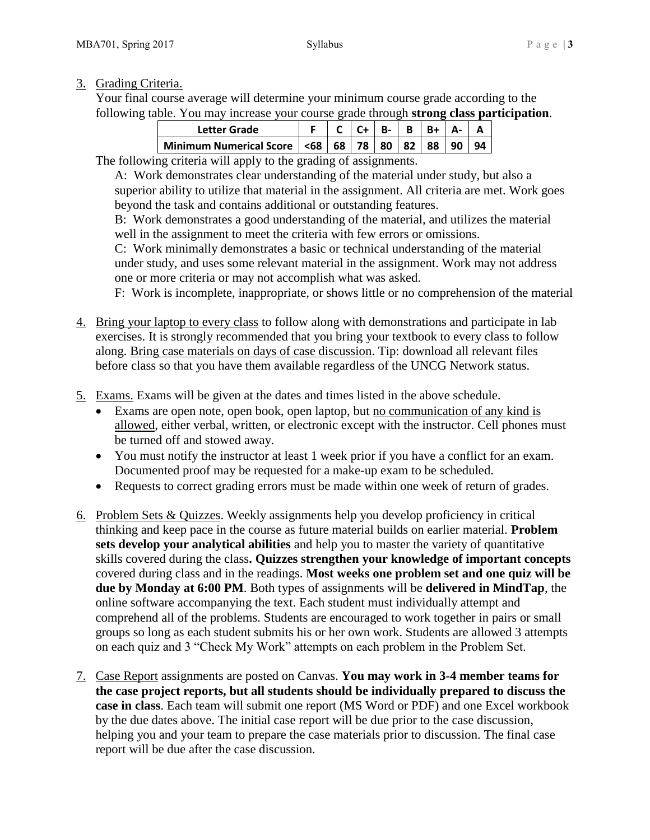# 3. Grading Criteria.

Your final course average will determine your minimum course grade according to the following table. You may increase your course grade through **strong class participation**.

| Letter Grade                                           |  | $B - B$ | $IR + I$ |    |  |
|--------------------------------------------------------|--|---------|----------|----|--|
| Minimum Numerical Score   <68   68   78   80   82   88 |  |         |          | 90 |  |

The following criteria will apply to the grading of assignments.

A: Work demonstrates clear understanding of the material under study, but also a superior ability to utilize that material in the assignment. All criteria are met. Work goes beyond the task and contains additional or outstanding features.

B: Work demonstrates a good understanding of the material, and utilizes the material well in the assignment to meet the criteria with few errors or omissions.

C: Work minimally demonstrates a basic or technical understanding of the material under study, and uses some relevant material in the assignment. Work may not address one or more criteria or may not accomplish what was asked.

F: Work is incomplete, inappropriate, or shows little or no comprehension of the material

- 4. Bring your laptop to every class to follow along with demonstrations and participate in lab exercises. It is strongly recommended that you bring your textbook to every class to follow along. Bring case materials on days of case discussion. Tip: download all relevant files before class so that you have them available regardless of the UNCG Network status.
- 5. Exams. Exams will be given at the dates and times listed in the above schedule.
	- Exams are open note, open book, open laptop, but no communication of any kind is allowed, either verbal, written, or electronic except with the instructor. Cell phones must be turned off and stowed away.
	- You must notify the instructor at least 1 week prior if you have a conflict for an exam. Documented proof may be requested for a make-up exam to be scheduled.
	- Requests to correct grading errors must be made within one week of return of grades.
- 6. Problem Sets & Quizzes. Weekly assignments help you develop proficiency in critical thinking and keep pace in the course as future material builds on earlier material. **Problem sets develop your analytical abilities** and help you to master the variety of quantitative skills covered during the class**. Quizzes strengthen your knowledge of important concepts**  covered during class and in the readings. **Most weeks one problem set and one quiz will be due by Monday at 6:00 PM**. Both types of assignments will be **delivered in MindTap**, the online software accompanying the text. Each student must individually attempt and comprehend all of the problems. Students are encouraged to work together in pairs or small groups so long as each student submits his or her own work. Students are allowed 3 attempts on each quiz and 3 "Check My Work" attempts on each problem in the Problem Set.
- 7. Case Report assignments are posted on Canvas. **You may work in 3-4 member teams for the case project reports, but all students should be individually prepared to discuss the case in class**. Each team will submit one report (MS Word or PDF) and one Excel workbook by the due dates above. The initial case report will be due prior to the case discussion, helping you and your team to prepare the case materials prior to discussion. The final case report will be due after the case discussion.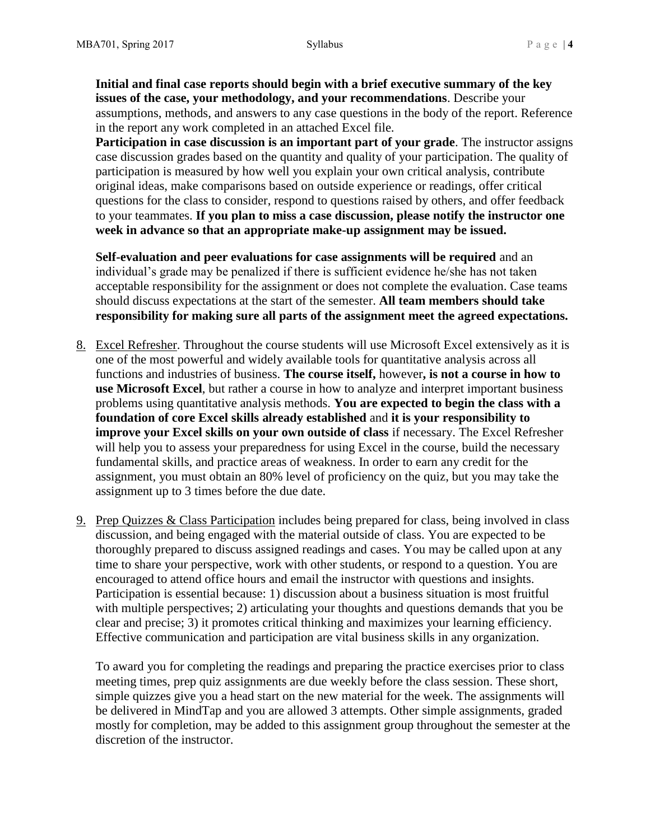**Initial and final case reports should begin with a brief executive summary of the key issues of the case, your methodology, and your recommendations**. Describe your assumptions, methods, and answers to any case questions in the body of the report. Reference in the report any work completed in an attached Excel file.

**Participation in case discussion is an important part of your grade**. The instructor assigns case discussion grades based on the quantity and quality of your participation. The quality of participation is measured by how well you explain your own critical analysis, contribute original ideas, make comparisons based on outside experience or readings, offer critical questions for the class to consider, respond to questions raised by others, and offer feedback to your teammates. **If you plan to miss a case discussion, please notify the instructor one week in advance so that an appropriate make-up assignment may be issued.**

**Self-evaluation and peer evaluations for case assignments will be required** and an individual's grade may be penalized if there is sufficient evidence he/she has not taken acceptable responsibility for the assignment or does not complete the evaluation. Case teams should discuss expectations at the start of the semester. **All team members should take responsibility for making sure all parts of the assignment meet the agreed expectations.**

- 8. Excel Refresher. Throughout the course students will use Microsoft Excel extensively as it is one of the most powerful and widely available tools for quantitative analysis across all functions and industries of business. **The course itself,** however**, is not a course in how to use Microsoft Excel**, but rather a course in how to analyze and interpret important business problems using quantitative analysis methods. **You are expected to begin the class with a foundation of core Excel skills already established** and **it is your responsibility to improve your Excel skills on your own outside of class** if necessary. The Excel Refresher will help you to assess your preparedness for using Excel in the course, build the necessary fundamental skills, and practice areas of weakness. In order to earn any credit for the assignment, you must obtain an 80% level of proficiency on the quiz, but you may take the assignment up to 3 times before the due date.
- 9. Prep Quizzes & Class Participation includes being prepared for class, being involved in class discussion, and being engaged with the material outside of class. You are expected to be thoroughly prepared to discuss assigned readings and cases. You may be called upon at any time to share your perspective, work with other students, or respond to a question. You are encouraged to attend office hours and email the instructor with questions and insights. Participation is essential because: 1) discussion about a business situation is most fruitful with multiple perspectives; 2) articulating your thoughts and questions demands that you be clear and precise; 3) it promotes critical thinking and maximizes your learning efficiency. Effective communication and participation are vital business skills in any organization.

To award you for completing the readings and preparing the practice exercises prior to class meeting times, prep quiz assignments are due weekly before the class session. These short, simple quizzes give you a head start on the new material for the week. The assignments will be delivered in MindTap and you are allowed 3 attempts. Other simple assignments, graded mostly for completion, may be added to this assignment group throughout the semester at the discretion of the instructor.